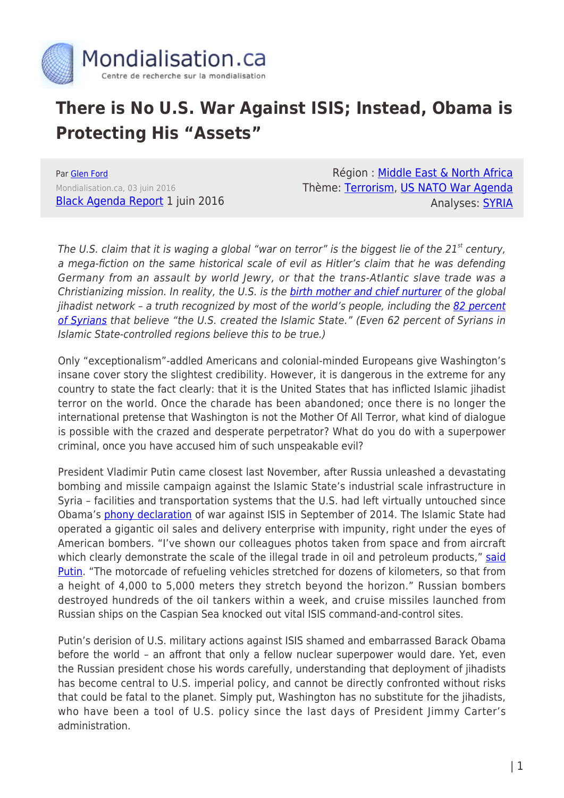

## **There is No U.S. War Against ISIS; Instead, Obama is Protecting His "Assets"**

Par [Glen Ford](https://www.mondialisation.ca/author/glen-ford) Mondialisation.ca, 03 juin 2016 [Black Agenda Report](http://www.blackagendareport.com/no_us_war_against_isis) 1 juin 2016

Région : [Middle East & North Africa](https://www.mondialisation.ca/region/middle-east) Thème: [Terrorism](https://www.mondialisation.ca/theme/9-11-war-on-terrorism), [US NATO War Agenda](https://www.mondialisation.ca/theme/us-nato-war-agenda) Analyses: [SYRIA](https://www.mondialisation.ca/indepthreport/syria-nato-s-next-war)

The U.S. claim that it is waging a global "war on terror" is the biggest lie of the  $21<sup>st</sup>$  century, a mega-fiction on the same historical scale of evil as Hitler's claim that he was defending Germany from an assault by world Jewry, or that the trans-Atlantic slave trade was a Christianizing mission. In reality, the U.S. is the **birth mother and chief nurturer** of the global jihadist network - a truth recognized by most of the world's people, including the [82 percent](http://www.usnews.com/news/articles/2015-12-18/poll-majority-of-syrians-iraqis-dont-support-obamas-anti-isis-war-believe-us-created-extremists) [of Syrians](http://www.usnews.com/news/articles/2015-12-18/poll-majority-of-syrians-iraqis-dont-support-obamas-anti-isis-war-believe-us-created-extremists) that believe "the U.S. created the Islamic State." (Even 62 percent of Syrians in Islamic State-controlled regions believe this to be true.)

Only "exceptionalism"-addled Americans and colonial-minded Europeans give Washington's insane cover story the slightest credibility. However, it is dangerous in the extreme for any country to state the fact clearly: that it is the United States that has inflicted Islamic jihadist terror on the world. Once the charade has been abandoned; once there is no longer the international pretense that Washington is not the Mother Of All Terror, what kind of dialogue is possible with the crazed and desperate perpetrator? What do you do with a superpower criminal, once you have accused him of such unspeakable evil?

President Vladimir Putin came closest last November, after Russia unleashed a devastating bombing and missile campaign against the Islamic State's industrial scale infrastructure in Syria – facilities and transportation systems that the U.S. had left virtually untouched since Obama's [phony declaration](http://www.nytimes.com/2014/09/11/world/middleeast/obama-speech-isis.html?_r=0) of war against ISIS in September of 2014. The Islamic State had operated a gigantic oil sales and delivery enterprise with impunity, right under the eyes of American bombers. "I've shown our colleagues photos taken from space and from aircraft which clearly demonstrate the scale of the illegal trade in oil and petroleum products," [said](http://thefreethoughtproject.com/putin-shares-intel-g20-exposing-isis-financed-40-countries/) [Putin](http://thefreethoughtproject.com/putin-shares-intel-g20-exposing-isis-financed-40-countries/). "The motorcade of refueling vehicles stretched for dozens of kilometers, so that from a height of 4,000 to 5,000 meters they stretch beyond the horizon." Russian bombers destroyed hundreds of the oil tankers within a week, and cruise missiles launched from Russian ships on the Caspian Sea knocked out vital ISIS command-and-control sites.

Putin's derision of U.S. military actions against ISIS shamed and embarrassed Barack Obama before the world – an affront that only a fellow nuclear superpower would dare. Yet, even the Russian president chose his words carefully, understanding that deployment of jihadists has become central to U.S. imperial policy, and cannot be directly confronted without risks that could be fatal to the planet. Simply put, Washington has no substitute for the jihadists, who have been a tool of U.S. policy since the last days of President Jimmy Carter's administration.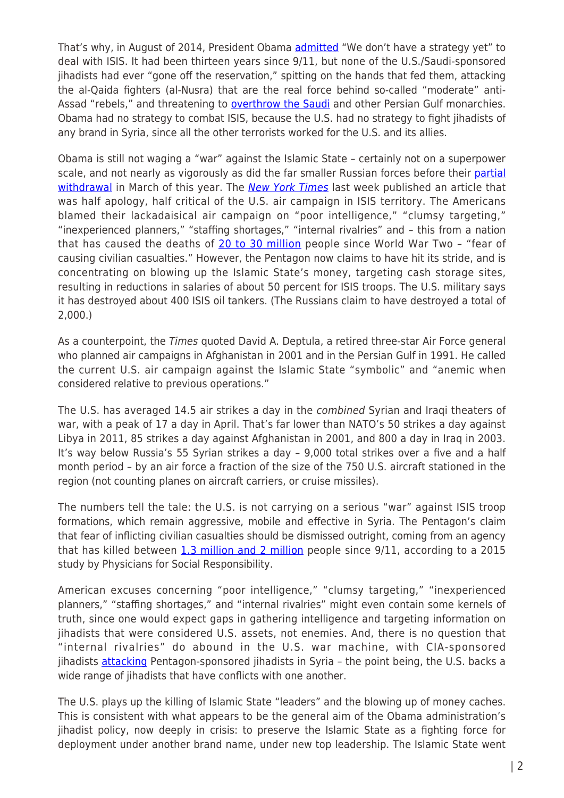That's why, in August of 2014, President Obama [admitted](https://www.washingtonpost.com/politics/transcriptpresident-obamas-aug-28-remarks-on-ukraine-and-syria/2014/08/28/416f1336-2eec-11e4-bb9b-997ae96fad33_story.html) "We don't have a strategy yet" to deal with ISIS. It had been thirteen years since 9/11, but none of the U.S./Saudi-sponsored jihadists had ever "gone off the reservation," spitting on the hands that fed them, attacking the al-Qaida fighters (al-Nusra) that are the real force behind so-called "moderate" anti-Assad "rebels," and threatening to **overthrow the Saudi** and other Persian Gulf monarchies. Obama had no strategy to combat ISIS, because the U.S. had no strategy to fight jihadists of any brand in Syria, since all the other terrorists worked for the U.S. and its allies.

Obama is still not waging a "war" against the Islamic State – certainly not on a superpower scale, and not nearly as vigorously as did the far smaller Russian forces before their [partial](http://www.cnn.com/2016/03/14/world/russia-syria-withdrawal/) [withdrawal](http://www.cnn.com/2016/03/14/world/russia-syria-withdrawal/) in March of this year. The [New York Times](http://www.nytimes.com/2016/05/26/us/politics/us-strikes-isis-targets.html) last week published an article that was half apology, half critical of the U.S. air campaign in ISIS territory. The Americans blamed their lackadaisical air campaign on "poor intelligence," "clumsy targeting," "inexperienced planners," "staffing shortages," "internal rivalries" and – this from a nation that has caused the deaths of [20 to 30 million](http://www.globalresearch.ca/us-has-killed-more-than-20-million-people-in-37-victim-nations-since-world-war-ii/5492051) people since World War Two – "fear of causing civilian casualties." However, the Pentagon now claims to have hit its stride, and is concentrating on blowing up the Islamic State's money, targeting cash storage sites, resulting in reductions in salaries of about 50 percent for ISIS troops. The U.S. military says it has destroyed about 400 ISIS oil tankers. (The Russians claim to have destroyed a total of 2,000.)

As a counterpoint, the Times quoted David A. Deptula, a retired three-star Air Force general who planned air campaigns in Afghanistan in 2001 and in the Persian Gulf in 1991. He called the current U.S. air campaign against the Islamic State "symbolic" and "anemic when considered relative to previous operations."

The U.S. has averaged 14.5 air strikes a day in the combined Syrian and Iraqi theaters of war, with a peak of 17 a day in April. That's far lower than NATO's 50 strikes a day against Libya in 2011, 85 strikes a day against Afghanistan in 2001, and 800 a day in Iraq in 2003. It's way below Russia's 55 Syrian strikes a day – 9,000 total strikes over a five and a half month period – by an air force a fraction of the size of the 750 U.S. aircraft stationed in the region (not counting planes on aircraft carriers, or cruise missiles).

The numbers tell the tale: the U.S. is not carrying on a serious "war" against ISIS troop formations, which remain aggressive, mobile and effective in Syria. The Pentagon's claim that fear of inflicting civilian casualties should be dismissed outright, coming from an agency that has killed between [1.3 million and 2 million](http://www.commondreams.org/news/2015/03/26/body-count-report-reveals-least-13-million-lives-lost-us-led-war-terror) people since 9/11, according to a 2015 study by Physicians for Social Responsibility.

American excuses concerning "poor intelligence," "clumsy targeting," "inexperienced planners," "staffing shortages," and "internal rivalries" might even contain some kernels of truth, since one would expect gaps in gathering intelligence and targeting information on jihadists that were considered U.S. assets, not enemies. And, there is no question that "internal rivalries" do abound in the U.S. war machine, with CIA-sponsored jihadists [attacking](http://www.latimes.com/world/middleeast/la-fg-cia-pentagon-isis-20160327-story.html) Pentagon-sponsored jihadists in Syria - the point being, the U.S. backs a wide range of jihadists that have conflicts with one another.

The U.S. plays up the killing of Islamic State "leaders" and the blowing up of money caches. This is consistent with what appears to be the general aim of the Obama administration's jihadist policy, now deeply in crisis: to preserve the Islamic State as a fighting force for deployment under another brand name, under new top leadership. The Islamic State went